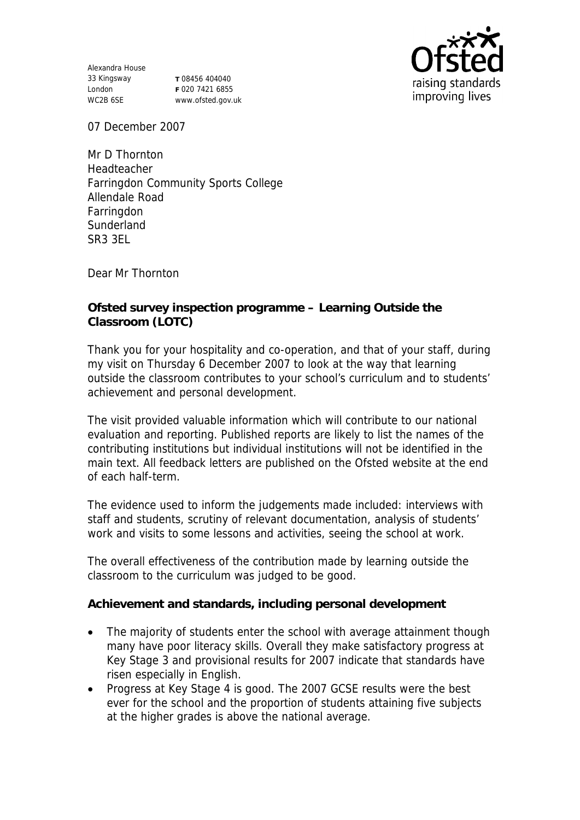Alexandra House 33 Kingsway London WC2B 6SE

**T** 08456 404040 **F** 020 7421 6855 www.ofsted.gov.uk



07 December 2007

Mr D Thornton Headteacher Farringdon Community Sports College Allendale Road Farringdon **Sunderland** SR3 3EL

Dear Mr Thornton

**Ofsted survey inspection programme – Learning Outside the Classroom (LOTC)**

Thank you for your hospitality and co-operation, and that of your staff, during my visit on Thursday 6 December 2007 to look at the way that learning outside the classroom contributes to your school's curriculum and to students' achievement and personal development.

The visit provided valuable information which will contribute to our national evaluation and reporting. Published reports are likely to list the names of the contributing institutions but individual institutions will not be identified in the main text. All feedback letters are published on the Ofsted website at the end of each half-term.

The evidence used to inform the judgements made included: interviews with staff and students, scrutiny of relevant documentation, analysis of students' work and visits to some lessons and activities, seeing the school at work.

The overall effectiveness of the contribution made by learning outside the classroom to the curriculum was judged to be good.

**Achievement and standards, including personal development**

- The majority of students enter the school with average attainment though many have poor literacy skills. Overall they make satisfactory progress at Key Stage 3 and provisional results for 2007 indicate that standards have risen especially in English.
- Progress at Key Stage 4 is good. The 2007 GCSE results were the best ever for the school and the proportion of students attaining five subjects at the higher grades is above the national average.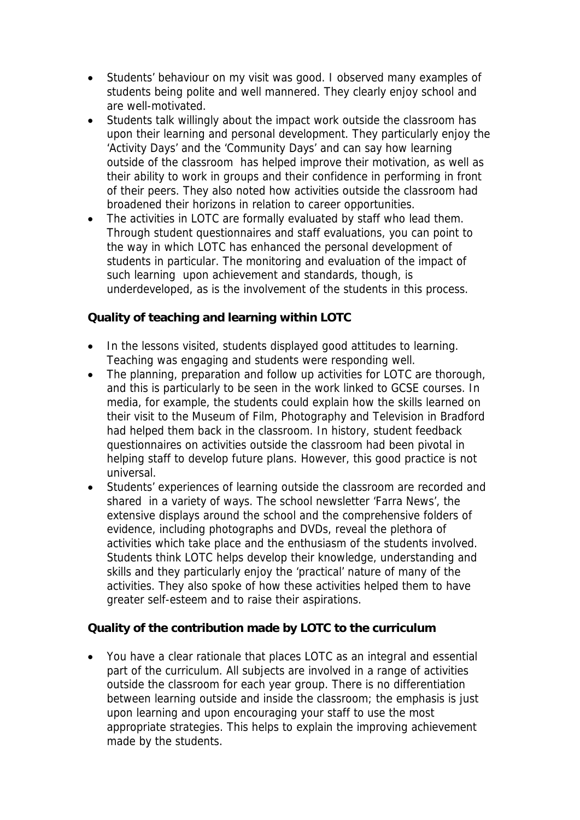- Students' behaviour on my visit was good. I observed many examples of students being polite and well mannered. They clearly enjoy school and are well-motivated.
- Students talk willingly about the impact work outside the classroom has upon their learning and personal development. They particularly enjoy the 'Activity Days' and the 'Community Days' and can say how learning outside of the classroom has helped improve their motivation, as well as their ability to work in groups and their confidence in performing in front of their peers. They also noted how activities outside the classroom had broadened their horizons in relation to career opportunities.
- The activities in LOTC are formally evaluated by staff who lead them. Through student questionnaires and staff evaluations, you can point to the way in which LOTC has enhanced the personal development of students in particular. The monitoring and evaluation of the impact of such learning upon achievement and standards, though, is underdeveloped, as is the involvement of the students in this process.

**Quality of teaching and learning within LOTC**

- In the lessons visited, students displayed good attitudes to learning. Teaching was engaging and students were responding well.
- The planning, preparation and follow up activities for LOTC are thorough, and this is particularly to be seen in the work linked to GCSE courses. In media, for example, the students could explain how the skills learned on their visit to the Museum of Film, Photography and Television in Bradford had helped them back in the classroom. In history, student feedback questionnaires on activities outside the classroom had been pivotal in helping staff to develop future plans. However, this good practice is not universal.
- Students' experiences of learning outside the classroom are recorded and shared in a variety of ways. The school newsletter 'Farra News', the extensive displays around the school and the comprehensive folders of evidence, including photographs and DVDs, reveal the plethora of activities which take place and the enthusiasm of the students involved. Students think LOTC helps develop their knowledge, understanding and skills and they particularly enjoy the 'practical' nature of many of the activities. They also spoke of how these activities helped them to have greater self-esteem and to raise their aspirations.

**Quality of the contribution made by LOTC to the curriculum** 

 You have a clear rationale that places LOTC as an integral and essential part of the curriculum. All subjects are involved in a range of activities outside the classroom for each year group. There is no differentiation between learning outside and inside the classroom; the emphasis is just upon learning and upon encouraging your staff to use the most appropriate strategies. This helps to explain the improving achievement made by the students.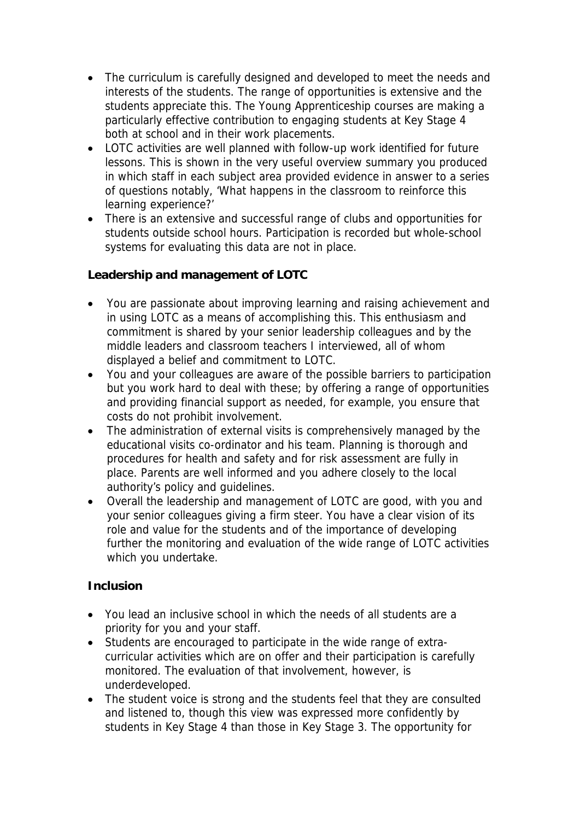- The curriculum is carefully designed and developed to meet the needs and interests of the students. The range of opportunities is extensive and the students appreciate this. The Young Apprenticeship courses are making a particularly effective contribution to engaging students at Key Stage 4 both at school and in their work placements.
- LOTC activities are well planned with follow-up work identified for future lessons. This is shown in the very useful overview summary you produced in which staff in each subject area provided evidence in answer to a series of questions notably, 'What happens in the classroom to reinforce this learning experience?'
- There is an extensive and successful range of clubs and opportunities for students outside school hours. Participation is recorded but whole-school systems for evaluating this data are not in place.

**Leadership and management of LOTC**

- You are passionate about improving learning and raising achievement and in using LOTC as a means of accomplishing this. This enthusiasm and commitment is shared by your senior leadership colleagues and by the middle leaders and classroom teachers I interviewed, all of whom displayed a belief and commitment to LOTC.
- You and your colleagues are aware of the possible barriers to participation but you work hard to deal with these; by offering a range of opportunities and providing financial support as needed, for example, you ensure that costs do not prohibit involvement.
- The administration of external visits is comprehensively managed by the educational visits co-ordinator and his team. Planning is thorough and procedures for health and safety and for risk assessment are fully in place. Parents are well informed and you adhere closely to the local authority's policy and guidelines.
- Overall the leadership and management of LOTC are good, with you and your senior colleagues giving a firm steer. You have a clear vision of its role and value for the students and of the importance of developing further the monitoring and evaluation of the wide range of LOTC activities which you undertake.

## **Inclusion**

- You lead an inclusive school in which the needs of all students are a priority for you and your staff.
- Students are encouraged to participate in the wide range of extracurricular activities which are on offer and their participation is carefully monitored. The evaluation of that involvement, however, is underdeveloped.
- The student voice is strong and the students feel that they are consulted and listened to, though this view was expressed more confidently by students in Key Stage 4 than those in Key Stage 3. The opportunity for